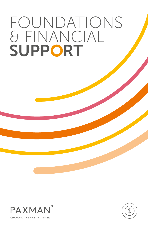# FOUNDATIONS & FINANCIAL SUPPORT



CHANGING THE FACE OF CANCER

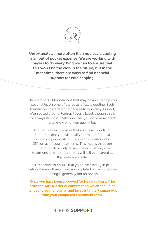

Unfortunately, more often than not, scalp cooling is an out of pocket expense. We are working with payers to do everything we can to ensure that this won't be the case in the future, but in the meantime, there are ways to find financial support for cold capping.

There are lots of foundations that may be able to help you cover at least some of the costs of scalp cooling. Each foundation has different criteria as to who they support, often based around Federal Poverty Level, though this is not always the case. Make sure that you do your research and know what you qualify for.

Another reason to ensure that you have foundation support is that you will qualify for the preferential foundation pricing structure, which is a discount of 25% on all of your treatments. This means that even if the foundation only covers the cost of only one treatment, all other treatments will still be charged at the preferential rate.

It is important to ensure that you have funding in place before the enrollment form is completed, as retrospective funding is generally not an option.

Once you have been approved for funding, you will be provided with a letter of confirmation which should be handed to your physician and faxed into the Paxman Hub with your completed enrollment form.

THERE IS SUPPORT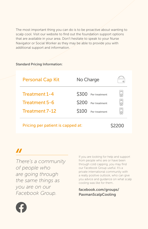The most important thing you can do is to be proactive about wanting to scalp cool. Visit our website to find out the foundation support options that are available in your area. Don't hesitate to speak to your Nurse Navigator or Social Worker as they may be able to provide you with additional support and information.

#### Standard Pricing Information:

| <b>Personal Cap Kit</b>                          | No Charge                                                                                    |   |
|--------------------------------------------------|----------------------------------------------------------------------------------------------|---|
| Treatment 1-4<br>Treatment 5-6<br>Treatment 7-12 | Per treatment<br><b>S300</b><br><b>S200</b><br>Per treatment<br><b>S100</b><br>Per treatment | ⋐ |

Pricing per patient is capped at: \$2200



*There's a community of people who are going through the same things as you are on our Facebook Group.*

If you are looking for help and support from people who are or have been through cold capping, you may find our Facebook Group useful. It's a private international community with a really positive outlook, who can give you advice and guidance on what scalp cooling was like for them..

#### facebook.com/groups/ PaxmanScalpCooling

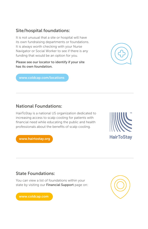#### Site/hospital foundations:

It is not unusual that a site or hospital will have its own fundraising departments or foundations. It is always worth checking with your Nurse Navigator or Social Worker to see if there is any funding that would be an option for you.

Please see our locator to identify if your site has its own foundation.



[www.coldcap.com/locations](https://coldcap.com/locations/)

#### National Foundations:

HairToStay is a national US organization dedicated to increasing access to scalp cooling for patients with financial need while educating the public and health professionals about the benefits of scalp cooling.

[www.hairtostay.org](http://www.hairtostay.org/)



#### State Foundations:

You can view a list of foundations within your state by visiting our Financial Support page on:



[www.coldcap.com](https://coldcap.com/i-want-to-scalp-cool/financialsupport/)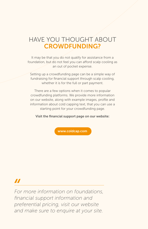## HAVE YOU THOUGHT ABOUT CROWDFUNDING?

It may be that you do not qualify for assistance from a foundation, but do not feel you can afford scalp cooling as an out of pocket expense.

Setting up a crowdfunding page can be a simple way of fundraising for financial support through scalp cooling, whether it is for the full or part payment.

There are a few options when it comes to popular crowdfunding platforms. We provide more information on our website, along with example images, profile and information about cold capping text, that you can use a starting point for your crowdfunding page.

Visit the financial support page on our website:

[www.coldcap.com](https://coldcap.com/i-want-to-scalp-cool/financialsupport/)

# $\boldsymbol{\boldsymbol{H}}$

*For more information on foundations, financial support information and preferential pricing, visit our website and make sure to enquire at your site.*